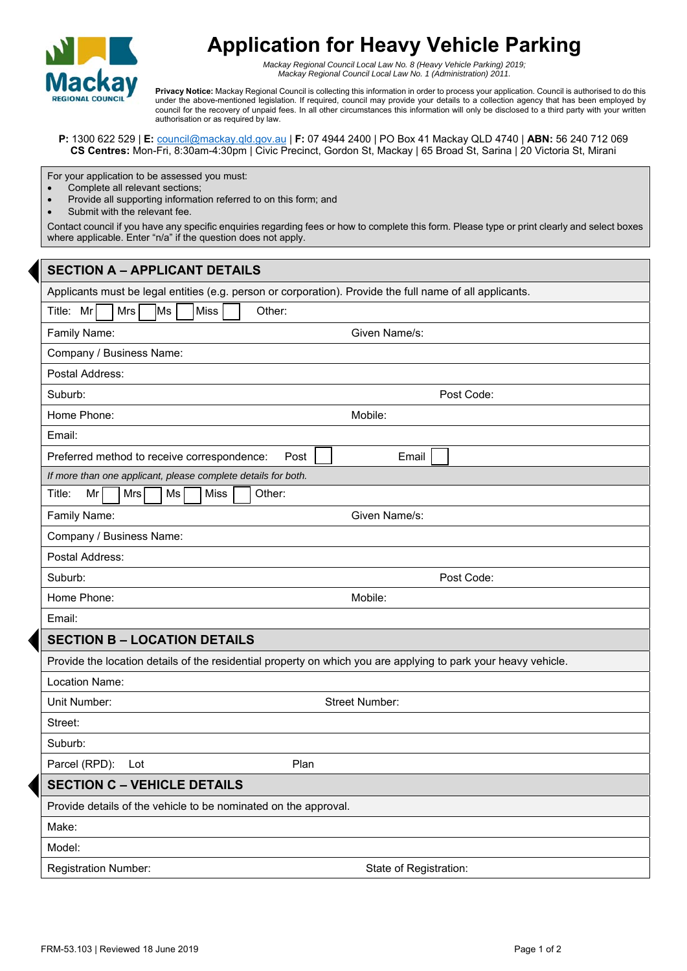

## **Application for Heavy Vehicle Parking**

*Mackay Regional Council Local Law No. 8 (Heavy Vehicle Parking) 2019; Mackay Regional Council Local Law No. 1 (Administration) 2011.*

**Privacy Notice:** Mackay Regional Council is collecting this information in order to process your application. Council is authorised to do this under the above-mentioned legislation. If required, council may provide your details to a collection agency that has been employed by council for the recovery of unpaid fees. In all other circumstances this information will only be disclosed to a third party with your written authorisation or as required by law.

**P:** 1300 622 529 | **E:** council@mackay.qld.gov.au | **F:** 07 4944 2400 | PO Box 41 Mackay QLD 4740 | **ABN:** 56 240 712 069 **CS Centres:** Mon-Fri, 8:30am-4:30pm | Civic Precinct, Gordon St, Mackay | 65 Broad St, Sarina | 20 Victoria St, Mirani

For your application to be assessed you must:

- Complete all relevant sections;
- Provide all supporting information referred to on this form; and
- Submit with the relevant fee.

Contact council if you have any specific enquiries regarding fees or how to complete this form. Please type or print clearly and select boxes where applicable. Enter "n/a" if the question does not apply.

| <b>SECTION A - APPLICANT DETAILS</b>                                                                           |  |  |  |
|----------------------------------------------------------------------------------------------------------------|--|--|--|
| Applicants must be legal entities (e.g. person or corporation). Provide the full name of all applicants.       |  |  |  |
| Title: Mr<br>Ms]<br>Miss<br>Mrs<br>Other:                                                                      |  |  |  |
| Given Name/s:<br>Family Name:                                                                                  |  |  |  |
| Company / Business Name:                                                                                       |  |  |  |
| Postal Address:                                                                                                |  |  |  |
| Suburb:<br>Post Code:                                                                                          |  |  |  |
| Home Phone:<br>Mobile:                                                                                         |  |  |  |
| Email:                                                                                                         |  |  |  |
| Preferred method to receive correspondence:<br>Post<br>Email                                                   |  |  |  |
| If more than one applicant, please complete details for both.                                                  |  |  |  |
| Mr<br>Ms<br><b>Miss</b><br>Other:<br>Title:<br>Mrs                                                             |  |  |  |
| Family Name:<br>Given Name/s:                                                                                  |  |  |  |
| Company / Business Name:                                                                                       |  |  |  |
| Postal Address:                                                                                                |  |  |  |
| Suburb:<br>Post Code:                                                                                          |  |  |  |
| Home Phone:<br>Mobile:                                                                                         |  |  |  |
| Email:                                                                                                         |  |  |  |
| <b>SECTION B - LOCATION DETAILS</b>                                                                            |  |  |  |
| Provide the location details of the residential property on which you are applying to park your heavy vehicle. |  |  |  |
| Location Name:                                                                                                 |  |  |  |
| Street Number:<br>Unit Number:                                                                                 |  |  |  |
| Street:                                                                                                        |  |  |  |
| Suburb:                                                                                                        |  |  |  |
| Parcel (RPD):<br>Plan<br>Lot                                                                                   |  |  |  |
| <b>SECTION C - VEHICLE DETAILS</b>                                                                             |  |  |  |
| Provide details of the vehicle to be nominated on the approval.                                                |  |  |  |
| Make:                                                                                                          |  |  |  |
| Model:                                                                                                         |  |  |  |
| <b>Registration Number:</b><br>State of Registration:                                                          |  |  |  |